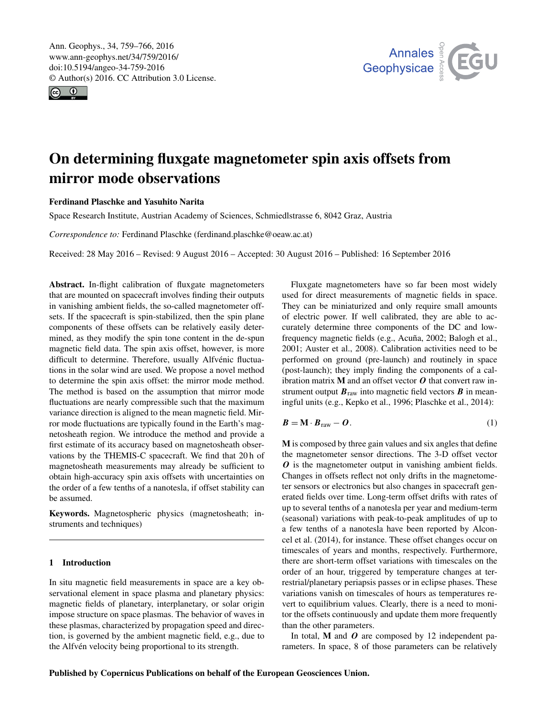<span id="page-0-1"></span>Ann. Geophys., 34, 759–766, 2016 www.ann-geophys.net/34/759/2016/ doi:10.5194/angeo-34-759-2016 © Author(s) 2016. CC Attribution 3.0 License.





# On determining fluxgate magnetometer spin axis offsets from mirror mode observations

### Ferdinand Plaschke and Yasuhito Narita

Space Research Institute, Austrian Academy of Sciences, Schmiedlstrasse 6, 8042 Graz, Austria

*Correspondence to:* Ferdinand Plaschke (ferdinand.plaschke@oeaw.ac.at)

Received: 28 May 2016 – Revised: 9 August 2016 – Accepted: 30 August 2016 – Published: 16 September 2016

Abstract. In-flight calibration of fluxgate magnetometers that are mounted on spacecraft involves finding their outputs in vanishing ambient fields, the so-called magnetometer offsets. If the spacecraft is spin-stabilized, then the spin plane components of these offsets can be relatively easily determined, as they modify the spin tone content in the de-spun magnetic field data. The spin axis offset, however, is more difficult to determine. Therefore, usually Alfvénic fluctuations in the solar wind are used. We propose a novel method to determine the spin axis offset: the mirror mode method. The method is based on the assumption that mirror mode fluctuations are nearly compressible such that the maximum variance direction is aligned to the mean magnetic field. Mirror mode fluctuations are typically found in the Earth's magnetosheath region. We introduce the method and provide a first estimate of its accuracy based on magnetosheath observations by the THEMIS-C spacecraft. We find that 20 h of magnetosheath measurements may already be sufficient to obtain high-accuracy spin axis offsets with uncertainties on the order of a few tenths of a nanotesla, if offset stability can be assumed.

Keywords. Magnetospheric physics (magnetosheath; instruments and techniques)

# 1 Introduction

In situ magnetic field measurements in space are a key observational element in space plasma and planetary physics: magnetic fields of planetary, interplanetary, or solar origin impose structure on space plasmas. The behavior of waves in these plasmas, characterized by propagation speed and direction, is governed by the ambient magnetic field, e.g., due to the Alfvén velocity being proportional to its strength.

Fluxgate magnetometers have so far been most widely used for direct measurements of magnetic fields in space. They can be miniaturized and only require small amounts of electric power. If well calibrated, they are able to accurately determine three components of the DC and lowfrequency magnetic fields (e.g., [Acuña,](#page-6-0) [2002;](#page-6-0) [Balogh et al.,](#page-6-1) [2001;](#page-6-1) [Auster et al.,](#page-6-2) [2008\)](#page-6-2). Calibration activities need to be performed on ground (pre-launch) and routinely in space (post-launch); they imply finding the components of a calibration matrix  $M$  and an offset vector  $O$  that convert raw instrument output  $B<sub>raw</sub>$  into magnetic field vectors  $B$  in meaningful units (e.g., [Kepko et al.,](#page-6-3) [1996;](#page-6-3) [Plaschke et al.,](#page-7-0) [2014\)](#page-7-0):

<span id="page-0-0"></span>
$$
B = M \cdot B_{\text{raw}} - O. \tag{1}
$$

M is composed by three gain values and six angles that define the magnetometer sensor directions. The 3-D offset vector O is the magnetometer output in vanishing ambient fields. Changes in offsets reflect not only drifts in the magnetometer sensors or electronics but also changes in spacecraft generated fields over time. Long-term offset drifts with rates of up to several tenths of a nanotesla per year and medium-term (seasonal) variations with peak-to-peak amplitudes of up to a few tenths of a nanotesla have been reported by [Alcon](#page-6-4)[cel et al.](#page-6-4) [\(2014\)](#page-6-4), for instance. These offset changes occur on timescales of years and months, respectively. Furthermore, there are short-term offset variations with timescales on the order of an hour, triggered by temperature changes at terrestrial/planetary periapsis passes or in eclipse phases. These variations vanish on timescales of hours as temperatures revert to equilibrium values. Clearly, there is a need to monitor the offsets continuously and update them more frequently than the other parameters.

In total,  $M$  and  $O$  are composed by 12 independent parameters. In space, 8 of those parameters can be relatively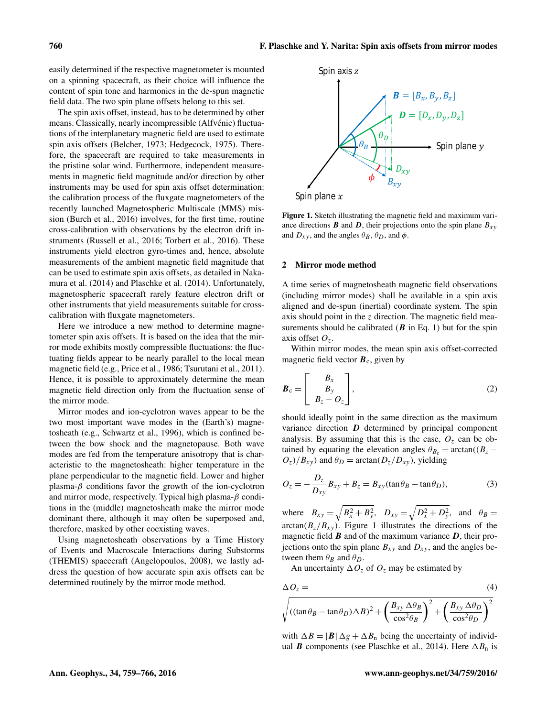easily determined if the respective magnetometer is mounted on a spinning spacecraft, as their choice will influence the content of spin tone and harmonics in the de-spun magnetic field data. The two spin plane offsets belong to this set.

The spin axis offset, instead, has to be determined by other means. Classically, nearly incompressible (Alfvénic) fluctuations of the interplanetary magnetic field are used to estimate spin axis offsets [\(Belcher,](#page-6-5) [1973;](#page-6-5) [Hedgecock,](#page-6-6) [1975\)](#page-6-6). Therefore, the spacecraft are required to take measurements in the pristine solar wind. Furthermore, independent measurements in magnetic field magnitude and/or direction by other instruments may be used for spin axis offset determination: the calibration process of the fluxgate magnetometers of the recently launched Magnetospheric Multiscale (MMS) mission [\(Burch et al.,](#page-6-7) [2016\)](#page-6-7) involves, for the first time, routine cross-calibration with observations by the electron drift instruments [\(Russell et al.,](#page-7-1) [2016;](#page-7-1) [Torbert et al.,](#page-7-2) [2016\)](#page-7-2). These instruments yield electron gyro-times and, hence, absolute measurements of the ambient magnetic field magnitude that can be used to estimate spin axis offsets, as detailed in [Naka](#page-7-3)[mura et al.](#page-7-3) [\(2014\)](#page-7-3) and [Plaschke et al.](#page-7-0) [\(2014\)](#page-7-0). Unfortunately, magnetospheric spacecraft rarely feature electron drift or other instruments that yield measurements suitable for crosscalibration with fluxgate magnetometers.

Here we introduce a new method to determine magnetometer spin axis offsets. It is based on the idea that the mirror mode exhibits mostly compressible fluctuations: the fluctuating fields appear to be nearly parallel to the local mean magnetic field (e.g., [Price et al.,](#page-7-4) [1986;](#page-7-4) [Tsurutani et al.,](#page-7-5) [2011\)](#page-7-5). Hence, it is possible to approximately determine the mean magnetic field direction only from the fluctuation sense of the mirror mode.

Mirror modes and ion-cyclotron waves appear to be the two most important wave modes in the (Earth's) magnetosheath (e.g., [Schwartz et al.,](#page-7-6) [1996\)](#page-7-6), which is confined between the bow shock and the magnetopause. Both wave modes are fed from the temperature anisotropy that is characteristic to the magnetosheath: higher temperature in the plane perpendicular to the magnetic field. Lower and higher plasma- $\beta$  conditions favor the growth of the ion-cyclotron and mirror mode, respectively. Typical high plasma- $\beta$  conditions in the (middle) magnetosheath make the mirror mode dominant there, although it may often be superposed and, therefore, masked by other coexisting waves.

Using magnetosheath observations by a Time History of Events and Macroscale Interactions during Substorms (THEMIS) spacecraft [\(Angelopoulos,](#page-6-8) [2008\)](#page-6-8), we lastly address the question of how accurate spin axis offsets can be determined routinely by the mirror mode method.

<span id="page-1-0"></span>

Figure 1. Sketch illustrating the magnetic field and maximum variance directions **B** and **D**, their projections onto the spin plane  $B_{xy}$ and  $D_{xy}$ , and the angles  $\theta_B$ ,  $\theta_D$ , and  $\phi$ .

#### <span id="page-1-3"></span>2 Mirror mode method

A time series of magnetosheath magnetic field observations (including mirror modes) shall be available in a spin axis aligned and de-spun (inertial) coordinate system. The spin axis should point in the  $z$  direction. The magnetic field measurements should be calibrated  $(B \text{ in Eq. 1})$  but for the spin axis offset  $O_7$ .

Within mirror modes, the mean spin axis offset-corrected magnetic field vector  $B<sub>c</sub>$ , given by

$$
\boldsymbol{B}_{\rm c} = \begin{bmatrix} B_x \\ B_y \\ B_z - O_z \end{bmatrix},
$$
\n(2)

should ideally point in the same direction as the maximum variance direction  $D$  determined by principal component analysis. By assuming that this is the case,  $O<sub>z</sub>$  can be obtained by equating the elevation angles  $\theta_{B_c} = \arctan((B_z O_z$ )/ $B_{xy}$ ) and  $\theta_D = \arctan(D_z/D_{xy})$ , yielding

<span id="page-1-1"></span>
$$
O_z = -\frac{D_z}{D_{xy}}B_{xy} + B_z = B_{xy}(\tan\theta_B - \tan\theta_D),
$$
\n(3)

where  $B_{xy} = \sqrt{B_x^2 + B_y^2}$ ,  $D_{xy} = \sqrt{D_x^2 + D_y^2}$ , and  $\theta_B =$  $arctan(B_z/B_{xy})$ . Figure [1](#page-1-0) illustrates the directions of the magnetic field  $\bf{B}$  and of the maximum variance  $\bf{D}$ , their projections onto the spin plane  $B_{xy}$  and  $D_{xy}$ , and the angles between them  $\theta_B$  and  $\theta_D$ .

<span id="page-1-2"></span>An uncertainty  $\Delta O_z$  of  $O_z$  may be estimated by

$$
\Delta O_z = \n\sqrt{\left((\tan \theta_B - \tan \theta_D) \Delta B\right)^2 + \left(\frac{B_{xy} \Delta \theta_B}{\cos^2 \theta_B}\right)^2 + \left(\frac{B_{xy} \Delta \theta_D}{\cos^2 \theta_D}\right)^2}
$$
\n(4)

with  $\Delta B = |B| \Delta g + \Delta B_n$  being the uncertainty of individual **B** components (see [Plaschke et al.,](#page-7-0) [2014\)](#page-7-0). Here  $\Delta B_n$  is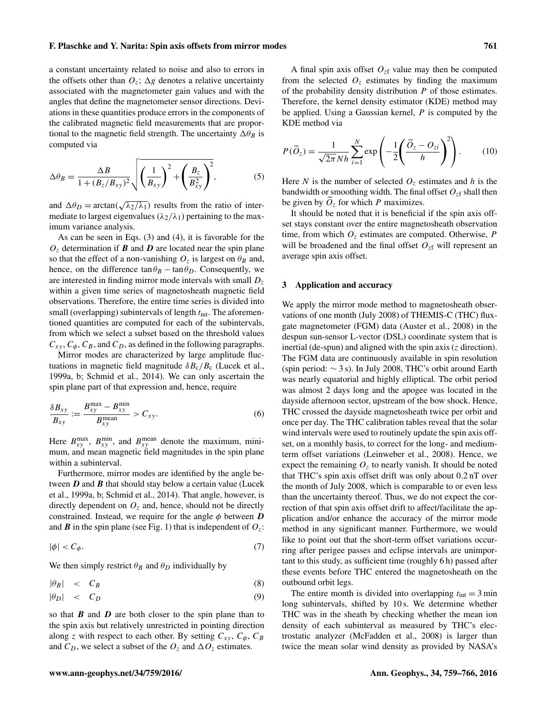#### F. Plaschke and Y. Narita: Spin axis offsets from mirror modes 761

a constant uncertainty related to noise and also to errors in the offsets other than  $O_z$ ;  $\Delta g$  denotes a relative uncertainty associated with the magnetometer gain values and with the angles that define the magnetometer sensor directions. Deviations in these quantities produce errors in the components of the calibrated magnetic field measurements that are proportional to the magnetic field strength. The uncertainty  $\Delta\theta_B$  is computed via

$$
\Delta \theta_B = \frac{\Delta B}{1 + (B_z/B_{xy})^2} \sqrt{\left(\frac{1}{B_{xy}}\right)^2 + \left(\frac{B_z}{B_{xy}^2}\right)^2},
$$
(5)

and  $\Delta \theta_D = \arctan(\sqrt{\theta})$  $\lambda_2/\lambda_1$ ) results from the ratio of intermediate to largest eigenvalues ( $\lambda_2/\lambda_1$ ) pertaining to the maximum variance analysis.

As can be seen in Eqs. [\(3\)](#page-1-1) and [\(4\)](#page-1-2), it is favorable for the  $O<sub>z</sub>$  determination if **B** and **D** are located near the spin plane so that the effect of a non-vanishing  $O_z$  is largest on  $\theta_B$  and, hence, on the difference  $\tan \theta_B - \tan \theta_D$ . Consequently, we are interested in finding mirror mode intervals with small  $D<sub>z</sub>$ within a given time series of magnetosheath magnetic field observations. Therefore, the entire time series is divided into small (overlapping) subintervals of length  $t_{\text{int}}$ . The aforementioned quantities are computed for each of the subintervals, from which we select a subset based on the threshold values  $C_{xy}$ ,  $C_{\phi}$ ,  $C_B$ , and  $C_D$ , as defined in the following paragraphs.

Mirror modes are characterized by large amplitude fluctuations in magnetic field magnitude  $\delta B_c/B_c$  [\(Lucek et al.,](#page-7-7) [1999a,](#page-7-7) [b;](#page-7-8) [Schmid et al.,](#page-7-9) [2014\)](#page-7-9). We can only ascertain the spin plane part of that expression and, hence, require

$$
\frac{\delta B_{xy}}{B_{xy}} := \frac{B_{xy}^{\max} - B_{xy}^{\min}}{B_{xy}^{\text{mean}}} > C_{xy}.
$$
 (6)

Here  $B_{xy}^{\text{max}}$ ,  $B_{xy}^{\text{min}}$ , and  $B_{xy}^{\text{mean}}$  denote the maximum, minimum, and mean magnetic field magnitudes in the spin plane within a subinterval.

Furthermore, mirror modes are identified by the angle between  $D$  and  $B$  that should stay below a certain value [\(Lucek](#page-7-7) [et al.,](#page-7-7) [1999a,](#page-7-7) [b;](#page-7-8) [Schmid et al.,](#page-7-9) [2014\)](#page-7-9). That angle, however, is directly dependent on  $O<sub>z</sub>$  and, hence, should not be directly constrained. Instead, we require for the angle  $\phi$  between  $D$ and **B** in the spin plane (see Fig. [1\)](#page-1-0) that is independent of  $O_z$ :

$$
|\phi| < C_{\phi}.\tag{7}
$$

We then simply restrict  $\theta_B$  and  $\theta_D$  individually by

$$
|\theta_B| < C_B \tag{8}
$$

$$
|\theta_D| < C_D \tag{9}
$$

so that  $\bm{B}$  and  $\bm{D}$  are both closer to the spin plane than to the spin axis but relatively unrestricted in pointing direction along z with respect to each other. By setting  $C_{xy}$ ,  $C_{\phi}$ ,  $C_B$ and  $C_D$ , we select a subset of the  $O_z$  and  $\Delta O_z$  estimates.

A final spin axis offset  $O_{z}$  value may then be computed from the selected  $O<sub>z</sub>$  estimates by finding the maximum of the probability density distribution  $P$  of those estimates. Therefore, the kernel density estimator (KDE) method may be applied. Using a Gaussian kernel,  $P$  is computed by the KDE method via

<span id="page-2-0"></span>
$$
P(\widetilde{O}_z) = \frac{1}{\sqrt{2\pi} N h} \sum_{i=1}^{N} \exp\left(-\frac{1}{2} \left(\frac{\widetilde{O}_z - O_{zi}}{h}\right)^2\right). \tag{10}
$$

Here N is the number of selected  $O<sub>z</sub>$  estimates and h is the bandwidth or smoothing width. The final offset  $O_{\tau}$  shall then be given by  $O_z$  for which P maximizes.

It should be noted that it is beneficial if the spin axis offset stays constant over the entire magnetosheath observation time, from which  $O<sub>z</sub>$  estimates are computed. Otherwise, P will be broadened and the final offset  $O_{z}$  will represent an average spin axis offset.

#### 3 Application and accuracy

We apply the mirror mode method to magnetosheath observations of one month (July 2008) of THEMIS-C (THC) fluxgate magnetometer (FGM) data [\(Auster et al.,](#page-6-2) [2008\)](#page-6-2) in the despun sun-sensor L-vector (DSL) coordinate system that is inertial (de-spun) and aligned with the spin axis  $(z$  direction). The FGM data are continuously available in spin resolution (spin period: ∼ 3 s). In July 2008, THC's orbit around Earth was nearly equatorial and highly elliptical. The orbit period was almost 2 days long and the apogee was located in the dayside afternoon sector, upstream of the bow shock. Hence, THC crossed the dayside magnetosheath twice per orbit and once per day. The THC calibration tables reveal that the solar wind intervals were used to routinely update the spin axis offset, on a monthly basis, to correct for the long- and mediumterm offset variations [\(Leinweber et al.,](#page-7-10) [2008\)](#page-7-10). Hence, we expect the remaining  $O<sub>z</sub>$  to nearly vanish. It should be noted that THC's spin axis offset drift was only about 0.2 nT over the month of July 2008, which is comparable to or even less than the uncertainty thereof. Thus, we do not expect the correction of that spin axis offset drift to affect/facilitate the application and/or enhance the accuracy of the mirror mode method in any significant manner. Furthermore, we would like to point out that the short-term offset variations occurring after perigee passes and eclipse intervals are unimportant to this study, as sufficient time (roughly 6 h) passed after these events before THC entered the magnetosheath on the outbound orbit legs.

The entire month is divided into overlapping  $t_{\text{int}} = 3 \text{ min}$ long subintervals, shifted by 10 s. We determine whether THC was in the sheath by checking whether the mean ion density of each subinterval as measured by THC's electrostatic analyzer [\(McFadden et al.,](#page-7-11) [2008\)](#page-7-11) is larger than twice the mean solar wind density as provided by NASA's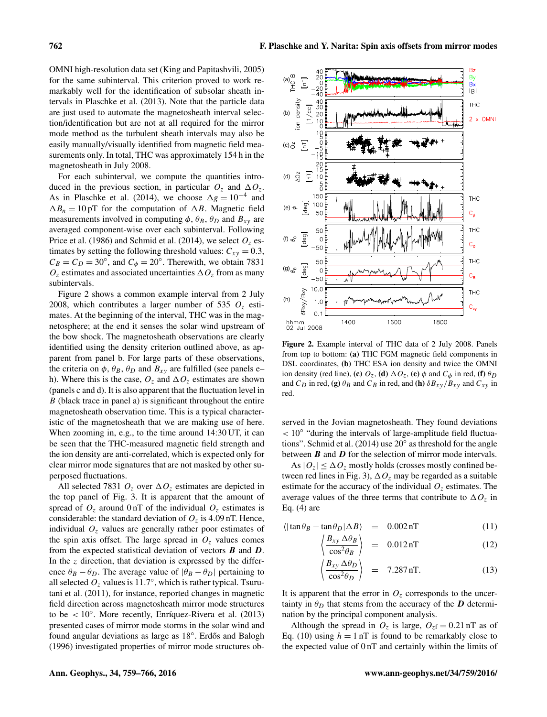OMNI high-resolution data set [\(King and Papitashvili,](#page-7-12) [2005\)](#page-7-12) for the same subinterval. This criterion proved to work remarkably well for the identification of subsolar sheath intervals in [Plaschke et al.](#page-7-13) [\(2013\)](#page-7-13). Note that the particle data are just used to automate the magnetosheath interval selection/identification but are not at all required for the mirror mode method as the turbulent sheath intervals may also be easily manually/visually identified from magnetic field measurements only. In total, THC was approximately 154 h in the magnetosheath in July 2008.

For each subinterval, we compute the quantities introduced in the previous section, in particular  $O_7$  and  $\Delta O_7$ . As in [Plaschke et al.](#page-7-0) [\(2014\)](#page-7-0), we choose  $\Delta g = 10^{-4}$  and  $\Delta B_n = 10 \text{ pT}$  for the computation of  $\Delta B$ . Magnetic field measurements involved in computing  $\phi$ ,  $\theta_B$ ,  $\theta_D$  and  $B_{xy}$  are averaged component-wise over each subinterval. Following [Price et al.](#page-7-4) [\(1986\)](#page-7-4) and [Schmid et al.](#page-7-9) [\(2014\)](#page-7-9), we select  $O<sub>z</sub>$  estimates by setting the following threshold values:  $C_{xy} = 0.3$ ,  $C_B = C_D = 30^\circ$ , and  $C_\phi = 20^\circ$ . Therewith, we obtain 7831  $O_z$  estimates and associated uncertainties  $\Delta O_z$  from as many subintervals.

Figure [2](#page-3-0) shows a common example interval from 2 July 2008, which contributes a larger number of 535  $O<sub>z</sub>$  estimates. At the beginning of the interval, THC was in the magnetosphere; at the end it senses the solar wind upstream of the bow shock. The magnetosheath observations are clearly identified using the density criterion outlined above, as apparent from panel b. For large parts of these observations, the criteria on  $\phi$ ,  $\theta_B$ ,  $\theta_D$  and  $B_{xy}$  are fulfilled (see panels e– h). Where this is the case,  $O_z$  and  $\Delta O_z$  estimates are shown (panels c and d). It is also apparent that the fluctuation level in B (black trace in panel a) is significant throughout the entire magnetosheath observation time. This is a typical characteristic of the magnetosheath that we are making use of here. When zooming in, e.g., to the time around 14:30 UT, it can be seen that the THC-measured magnetic field strength and the ion density are anti-correlated, which is expected only for clear mirror mode signatures that are not masked by other superposed fluctuations.

All selected 7831  $O<sub>z</sub>$  over  $\Delta O<sub>z</sub>$  estimates are depicted in the top panel of Fig. [3.](#page-4-0) It is apparent that the amount of spread of  $O_7$  around 0 nT of the individual  $O_7$  estimates is considerable: the standard deviation of  $O_z$  is 4.09 nT. Hence, individual  $O<sub>z</sub>$  values are generally rather poor estimates of the spin axis offset. The large spread in  $O<sub>z</sub>$  values comes from the expected statistical deviation of vectors  $\bf{B}$  and  $\bf{D}$ . In the  $z$  direction, that deviation is expressed by the difference  $\theta_B - \theta_D$ . The average value of  $|\theta_B - \theta_D|$  pertaining to all selected  $O_z$  values is 11.7°, which is rather typical. [Tsuru](#page-7-5)[tani et al.](#page-7-5) [\(2011\)](#page-7-5), for instance, reported changes in magnetic field direction across magnetosheath mirror mode structures to be < 10◦ . More recently, [Enríquez-Rivera et al.](#page-6-9) [\(2013\)](#page-6-9) presented cases of mirror mode storms in the solar wind and .<br>found angular deviations as large as 18°. Erdős and Balogh [\(1996\)](#page-6-10) investigated properties of mirror mode structures ob-

<span id="page-3-0"></span>

Figure 2. Example interval of THC data of 2 July 2008. Panels from top to bottom: (a) THC FGM magnetic field components in DSL coordinates, (b) THC ESA ion density and twice the OMNI ion density (red line), (c)  $O_z$ , (d)  $\Delta O_z$ , (e)  $\phi$  and  $C_{\phi}$  in red, (f)  $\theta_D$ and  $C_D$  in red, (g)  $\theta_B$  and  $C_B$  in red, and (h)  $\delta B_{xy}/B_{xy}$  and  $C_{xy}$  in red.

served in the Jovian magnetosheath. They found deviations < 10◦ "during the intervals of large-amplitude field fluctua-tions". [Schmid et al.](#page-7-9) [\(2014\)](#page-7-9) use  $20^{\circ}$  as threshold for the angle between  $\bf{B}$  and  $\bf{D}$  for the selection of mirror mode intervals.

As  $|O_z| \leq \Delta O_z$  mostly holds (crosses mostly confined be-tween red lines in Fig. [3\)](#page-4-0),  $\Delta O_z$  may be regarded as a suitable estimate for the accuracy of the individual  $O<sub>z</sub>$  estimates. The average values of the three terms that contribute to  $\Delta O_z$  in Eq. [\(4\)](#page-1-2) are

$$
\langle |\tan \theta_B - \tan \theta_D| \Delta B \rangle = 0.002 \,\text{nT} \tag{11}
$$

$$
\left\langle \frac{B_{xy} \Delta \theta_B}{\cos^2 \theta_B} \right\rangle = 0.012 \,\text{nT} \tag{12}
$$

$$
\left\langle \frac{B_{xy} \Delta \theta_D}{\cos^2 \theta_D} \right\rangle = 7.287 \,\text{nT}.
$$
 (13)

It is apparent that the error in  $O<sub>z</sub>$  corresponds to the uncertainty in  $\theta_D$  that stems from the accuracy of the D determination by the principal component analysis.

Although the spread in  $O_z$  is large,  $O_{zf} = 0.21$  nT as of Eq. [\(10\)](#page-2-0) using  $h = 1$  nT is found to be remarkably close to the expected value of 0 nT and certainly within the limits of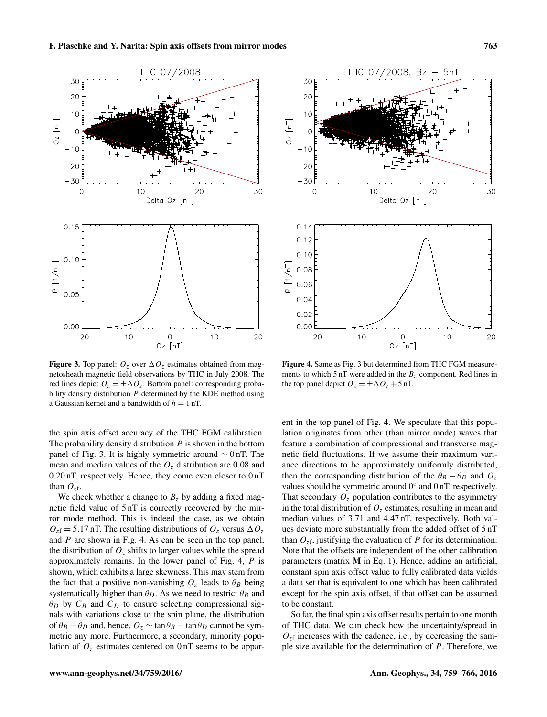<span id="page-4-0"></span>

Figure 3. Top panel:  $O_z$  over  $\Delta O_z$  estimates obtained from magnetosheath magnetic field observations by THC in July 2008. The red lines depict  $O_z = \pm \Delta O_z$ . Bottom panel: corresponding probability density distribution  $P$  determined by the KDE method using a Gaussian kernel and a bandwidth of  $h = 1$  nT.

the spin axis offset accuracy of the THC FGM calibration. The probability density distribution  $P$  is shown in the bottom panel of Fig. [3.](#page-4-0) It is highly symmetric around  $\sim 0$  nT. The mean and median values of the  $O<sub>z</sub>$  distribution are 0.08 and 0.20 nT, respectively. Hence, they come even closer to 0 nT than  $O_{z}$ f.

We check whether a change to  $B<sub>z</sub>$  by adding a fixed magnetic field value of 5 nT is correctly recovered by the mirror mode method. This is indeed the case, as we obtain  $O_{zf} = 5.17$  nT. The resulting distributions of  $O_{z}$  versus  $\Delta O_{z}$ and P are shown in Fig. [4.](#page-4-1) As can be seen in the top panel, the distribution of  $O<sub>z</sub>$  shifts to larger values while the spread approximately remains. In the lower panel of Fig. [4,](#page-4-1) P is shown, which exhibits a large skewness. This may stem from the fact that a positive non-vanishing  $O<sub>z</sub>$  leads to  $\theta_B$  being systematically higher than  $\theta_D$ . As we need to restrict  $\theta_B$  and  $\theta_D$  by  $C_B$  and  $C_D$  to ensure selecting compressional signals with variations close to the spin plane, the distribution of  $\theta_B - \theta_D$  and, hence,  $O_z \sim \tan \theta_B - \tan \theta_D$  cannot be symmetric any more. Furthermore, a secondary, minority population of  $O<sub>z</sub>$  estimates centered on  $0 \text{ nT}$  seems to be appar-

<span id="page-4-1"></span>

Figure 4. Same as Fig. [3](#page-4-0) but determined from THC FGM measurements to which  $5 \text{ nT}$  were added in the  $B_z$  component. Red lines in

the top panel depict  $O_z = \pm \Delta O_z + 5$  nT.

ent in the top panel of Fig. [4.](#page-4-1) We speculate that this population originates from other (than mirror mode) waves that feature a combination of compressional and transverse magnetic field fluctuations. If we assume their maximum variance directions to be approximately uniformly distributed, then the corresponding distribution of the  $\theta_B - \theta_D$  and  $O_z$ values should be symmetric around 0° and 0 nT, respectively. That secondary  $O<sub>z</sub>$  population contributes to the asymmetry in the total distribution of  $O<sub>z</sub>$  estimates, resulting in mean and median values of 3.71 and 4.47 nT, respectively. Both values deviate more substantially from the added offset of 5 nT than  $O_{z}$ f, justifying the evaluation of P for its determination. Note that the offsets are independent of the other calibration parameters (matrix M in Eq. [1\)](#page-0-0). Hence, adding an artificial, constant spin axis offset value to fully calibrated data yields a data set that is equivalent to one which has been calibrated except for the spin axis offset, if that offset can be assumed to be constant.

So far, the final spin axis offset results pertain to one month of THC data. We can check how the uncertainty/spread in  $O<sub>zf</sub>$  increases with the cadence, i.e., by decreasing the sample size available for the determination of  $P$ . Therefore, we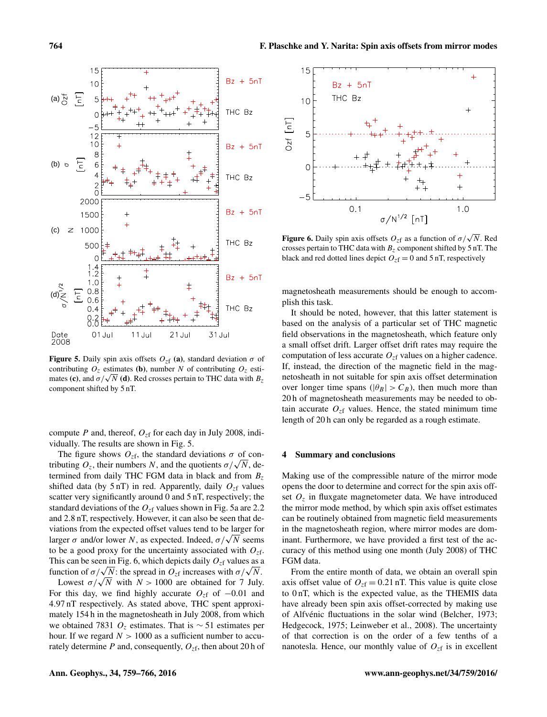<span id="page-5-0"></span>

**Figure 5.** Daily spin axis offsets  $O_{z}$  (a), standard deviation  $\sigma$  of contributing  $O_z$  estimates (b), number N of contributing  $O_z$  esticontributing  $U_z$  estimates (**b**), number N or contributing  $U_z$  estimates (**c**), and  $\sigma/\sqrt{N}$  (**d**). Red crosses pertain to THC data with  $B_z$ component shifted by 5 nT.

compute P and, thereof,  $O_{z}$ f for each day in July 2008, individually. The results are shown in Fig. [5.](#page-5-0)

The figure shows  $O_{z}$ f, the standard deviations  $\sigma$  of con-The figure shows  $O_{z}$ f, the standard deviations  $\sigma$  of contributing  $O_z$ , their numbers N, and the quotients  $\sigma/\sqrt{N}$ , determined from daily THC FGM data in black and from  $B_z$ shifted data (by  $5 \text{ nT}$ ) in red. Apparently, daily  $O_{zf}$  values scatter very significantly around 0 and 5 nT, respectively; the standard deviations of the  $O_{z}$  values shown in Fig. [5a](#page-5-0) are 2.2 and 2.8 nT, respectively. However, it can also be seen that deviations from the expected offset values tend to be larger for viations from the expected offset values tend to be larger for<br>larger  $\sigma$  and/or lower N, as expected. Indeed,  $\sigma/\sqrt{N}$  seems to be a good proxy for the uncertainty associated with  $O_{z}$ . This can be seen in Fig. [6,](#page-5-1) which depicts daily  $O_{z}$  values as a This can be seen in Fig. 6, which depicts daily  $O_{zf}$  values as a function of  $\sigma/\sqrt{N}$ : the spread in  $O_{zf}$  increases with  $\sigma/\sqrt{N}$ .

nction of  $\sigma/\sqrt{N}$ : the spread in  $\sigma_z$  increases with  $\sigma/\sqrt{N}$ .<br>Lowest  $\sigma/\sqrt{N}$  with  $N > 1000$  are obtained for 7 July. For this day, we find highly accurate  $O_{zf}$  of  $-0.01$  and 4.97 nT respectively. As stated above, THC spent approximately 154 h in the magnetosheath in July 2008, from which we obtained 7831  $O_z$  estimates. That is ~ 51 estimates per hour. If we regard  $N > 1000$  as a sufficient number to accurately determine  $P$  and, consequently,  $O_{zf}$ , then about 20 h of

<span id="page-5-1"></span>

**Figure 6.** Daily spin axis offsets  $O_{zf}$  as a function of  $\sigma/\sqrt{N}$ . Red crosses pertain to THC data with  $B<sub>z</sub>$  component shifted by 5 nT. The black and red dotted lines depict  $O_{zf} = 0$  and 5 nT, respectively

magnetosheath measurements should be enough to accomplish this task.

It should be noted, however, that this latter statement is based on the analysis of a particular set of THC magnetic field observations in the magnetosheath, which feature only a small offset drift. Larger offset drift rates may require the computation of less accurate  $O_{z}$  values on a higher cadence. If, instead, the direction of the magnetic field in the magnetosheath in not suitable for spin axis offset determination over longer time spans ( $|\theta_B| > C_B$ ), then much more than 20 h of magnetosheath measurements may be needed to obtain accurate  $O<sub>z</sub>f$  values. Hence, the stated minimum time length of 20 h can only be regarded as a rough estimate.

#### 4 Summary and conclusions

Making use of the compressible nature of the mirror mode opens the door to determine and correct for the spin axis offset  $O<sub>z</sub>$  in fluxgate magnetometer data. We have introduced the mirror mode method, by which spin axis offset estimates can be routinely obtained from magnetic field measurements in the magnetosheath region, where mirror modes are dominant. Furthermore, we have provided a first test of the accuracy of this method using one month (July 2008) of THC FGM data.

From the entire month of data, we obtain an overall spin axis offset value of  $O_{zf} = 0.21$  nT. This value is quite close to 0 nT, which is the expected value, as the THEMIS data have already been spin axis offset-corrected by making use of Alfvénic fluctuations in the solar wind [\(Belcher,](#page-6-5) [1973;](#page-6-5) [Hedgecock,](#page-6-6) [1975;](#page-6-6) [Leinweber et al.,](#page-7-10) [2008\)](#page-7-10). The uncertainty of that correction is on the order of a few tenths of a nanotesla. Hence, our monthly value of  $O_{z}$  is in excellent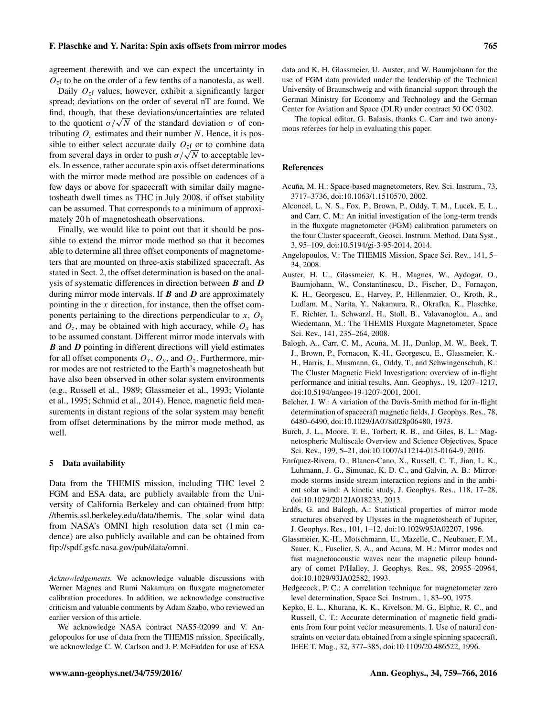agreement therewith and we can expect the uncertainty in  $O_{z}$  to be on the order of a few tenths of a nanotesla, as well.

Daily  $O_{z}$  values, however, exhibit a significantly larger spread; deviations on the order of several nT are found. We find, though, that these deviations/uncertainties are related nna, though, that these deviations/uncertainties are related<br>to the quotient  $\sigma/\sqrt{N}$  of the standard deviation  $\sigma$  of contributing  $O<sub>z</sub>$  estimates and their number N. Hence, it is possible to either select accurate daily  $O_{z}$  or to combine data sible to either select accurate daily  $U_{zf}$  or to combine data from several days in order to push  $\sigma/\sqrt{N}$  to acceptable levels. In essence, rather accurate spin axis offset determinations with the mirror mode method are possible on cadences of a few days or above for spacecraft with similar daily magnetosheath dwell times as THC in July 2008, if offset stability can be assumed. That corresponds to a minimum of approximately 20 h of magnetosheath observations.

Finally, we would like to point out that it should be possible to extend the mirror mode method so that it becomes able to determine all three offset components of magnetometers that are mounted on three-axis stabilized spacecraft. As stated in Sect. [2,](#page-1-3) the offset determination is based on the analysis of systematic differences in direction between  $\bm{B}$  and  $\bm{D}$ during mirror mode intervals. If  $\bm{B}$  and  $\bm{D}$  are approximately pointing in the  $x$  direction, for instance, then the offset components pertaining to the directions perpendicular to  $x, O_y$ and  $O_z$ , may be obtained with high accuracy, while  $O_x$  has to be assumed constant. Different mirror mode intervals with  $\bm{B}$  and  $\bm{D}$  pointing in different directions will yield estimates for all offset components  $O_x$ ,  $O_y$ , and  $O_z$ . Furthermore, mirror modes are not restricted to the Earth's magnetosheath but have also been observed in other solar system environments (e.g., [Russell et al.,](#page-7-14) [1989;](#page-7-14) [Glassmeier et al.,](#page-6-11) [1993;](#page-6-11) [Violante](#page-7-15) [et al.,](#page-7-15) [1995;](#page-7-15) [Schmid et al.,](#page-7-9) [2014\)](#page-7-9). Hence, magnetic field measurements in distant regions of the solar system may benefit from offset determinations by the mirror mode method, as well.

#### 5 Data availability

Data from the THEMIS mission, including THC level 2 FGM and ESA data, are publicly available from the University of California Berkeley and can obtained from [http:](http://themis.ssl.berkeley.edu/data/themis) [//themis.ssl.berkeley.edu/data/themis.](http://themis.ssl.berkeley.edu/data/themis) The solar wind data from NASA's OMNI high resolution data set (1 min cadence) are also publicly available and can be obtained from [ftp://spdf.gsfc.nasa.gov/pub/data/omni.](ftp://spdf.gsfc.nasa.gov/pub/data/omni)

*Acknowledgements.* We acknowledge valuable discussions with Werner Magnes and Rumi Nakamura on fluxgate magnetometer calibration procedures. In addition, we acknowledge constructive criticism and valuable comments by Adam Szabo, who reviewed an earlier version of this article.

We acknowledge NASA contract NAS5-02099 and V. Angelopoulos for use of data from the THEMIS mission. Specifically, we acknowledge C. W. Carlson and J. P. McFadden for use of ESA data and K. H. Glassmeier, U. Auster, and W. Baumjohann for the use of FGM data provided under the leadership of the Technical University of Braunschweig and with financial support through the German Ministry for Economy and Technology and the German Center for Aviation and Space (DLR) under contract 50 OC 0302.

The topical editor, G. Balasis, thanks C. Carr and two anonymous referees for help in evaluating this paper.

## References

- <span id="page-6-0"></span>Acuña, M. H.: Space-based magnetometers, Rev. Sci. Instrum., 73, 3717–3736, doi[:10.1063/1.1510570,](http://dx.doi.org/10.1063/1.1510570) 2002.
- <span id="page-6-4"></span>Alconcel, L. N. S., Fox, P., Brown, P., Oddy, T. M., Lucek, E. L., and Carr, C. M.: An initial investigation of the long-term trends in the fluxgate magnetometer (FGM) calibration parameters on the four Cluster spacecraft, Geosci. Instrum. Method. Data Syst., 3, 95–109, doi[:10.5194/gi-3-95-2014,](http://dx.doi.org/10.5194/gi-3-95-2014) 2014.
- <span id="page-6-8"></span>Angelopoulos, V.: The THEMIS Mission, Space Sci. Rev., 141, 5– 34, 2008.
- <span id="page-6-2"></span>Auster, H. U., Glassmeier, K. H., Magnes, W., Aydogar, O., Baumjohann, W., Constantinescu, D., Fischer, D., Fornaçon, K. H., Georgescu, E., Harvey, P., Hillenmaier, O., Kroth, R., Ludlam, M., Narita, Y., Nakamura, R., Okrafka, K., Plaschke, F., Richter, I., Schwarzl, H., Stoll, B., Valavanoglou, A., and Wiedemann, M.: The THEMIS Fluxgate Magnetometer, Space Sci. Rev., 141, 235–264, 2008.
- <span id="page-6-1"></span>Balogh, A., Carr, C. M., Acuña, M. H., Dunlop, M. W., Beek, T. J., Brown, P., Fornacon, K.-H., Georgescu, E., Glassmeier, K.- H., Harris, J., Musmann, G., Oddy, T., and Schwingenschuh, K.: The Cluster Magnetic Field Investigation: overview of in-flight performance and initial results, Ann. Geophys., 19, 1207–1217, doi[:10.5194/angeo-19-1207-2001,](http://dx.doi.org/10.5194/angeo-19-1207-2001) 2001.
- <span id="page-6-5"></span>Belcher, J. W.: A variation of the Davis-Smith method for in-flight determination of spacecraft magnetic fields, J. Geophys. Res., 78, 6480–6490, doi[:10.1029/JA078i028p06480,](http://dx.doi.org/10.1029/JA078i028p06480) 1973.
- <span id="page-6-7"></span>Burch, J. L., Moore, T. E., Torbert, R. B., and Giles, B. L.: Magnetospheric Multiscale Overview and Science Objectives, Space Sci. Rev., 199, 5–21, doi[:10.1007/s11214-015-0164-9,](http://dx.doi.org/10.1007/s11214-015-0164-9) 2016.
- <span id="page-6-9"></span>Enríquez-Rivera, O., Blanco-Cano, X., Russell, C. T., Jian, L. K., Luhmann, J. G., Simunac, K. D. C., and Galvin, A. B.: Mirrormode storms inside stream interaction regions and in the ambient solar wind: A kinetic study, J. Geophys. Res., 118, 17–28, doi[:10.1029/2012JA018233,](http://dx.doi.org/10.1029/2012JA018233) 2013.
- <span id="page-6-10"></span>Erdős, G. and Balogh, A.: Statistical properties of mirror mode structures observed by Ulysses in the magnetosheath of Jupiter, J. Geophys. Res., 101, 1–12, doi[:10.1029/95JA02207,](http://dx.doi.org/10.1029/95JA02207) 1996.
- <span id="page-6-11"></span>Glassmeier, K.-H., Motschmann, U., Mazelle, C., Neubauer, F. M., Sauer, K., Fuselier, S. A., and Acuna, M. H.: Mirror modes and fast magnetoacoustic waves near the magnetic pileup boundary of comet P/Halley, J. Geophys. Res., 98, 20955–20964, doi[:10.1029/93JA02582,](http://dx.doi.org/10.1029/93JA02582) 1993.
- <span id="page-6-6"></span>Hedgecock, P. C.: A correlation technique for magnetometer zero level determination, Space Sci. Instrum., 1, 83–90, 1975.
- <span id="page-6-3"></span>Kepko, E. L., Khurana, K. K., Kivelson, M. G., Elphic, R. C., and Russell, C. T.: Accurate determination of magnetic field gradients from four point vector measurements. I. Use of natural constraints on vector data obtained from a single spinning spacecraft, IEEE T. Mag., 32, 377–385, doi[:10.1109/20.486522,](http://dx.doi.org/10.1109/20.486522) 1996.